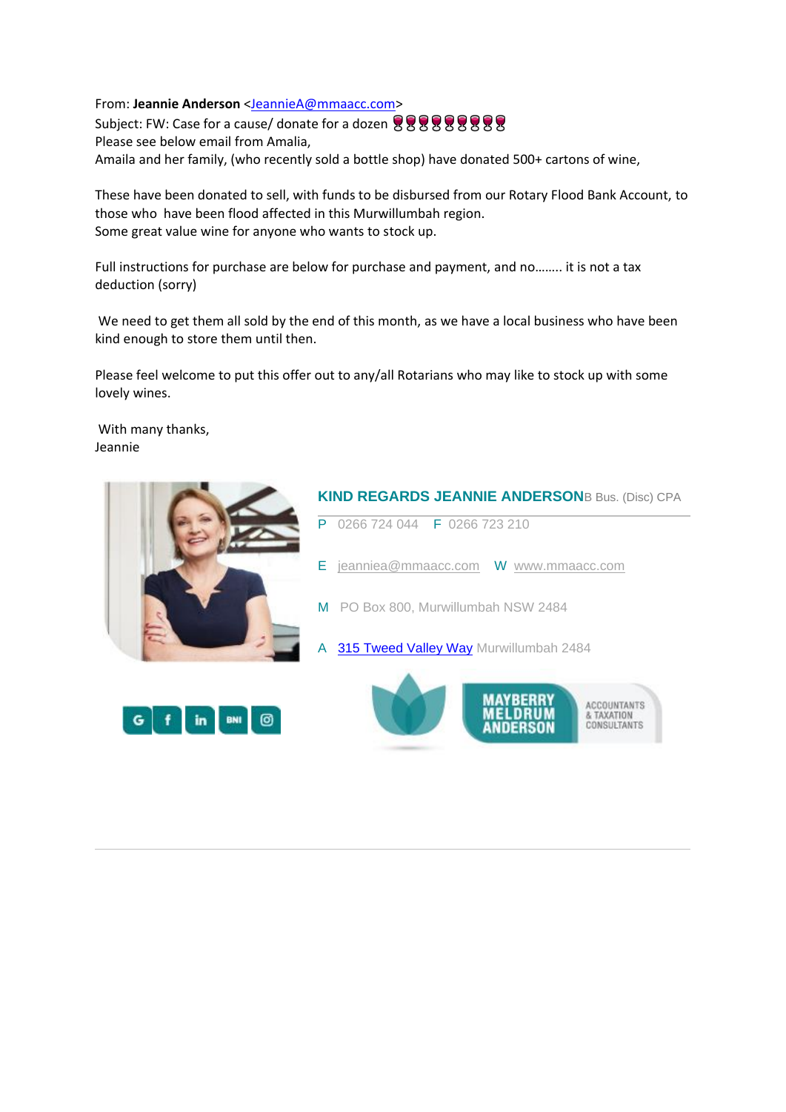From: **Jeannie Anderson** [<JeannieA@mmaacc.com>](mailto:JeannieA@mmaacc.com) Subject: FW: Case for a cause/ donate for a dozen 888888888 Please see below email from Amalia, Amaila and her family, (who recently sold a bottle shop) have donated 500+ cartons of wine,

These have been donated to sell, with funds to be disbursed from our Rotary Flood Bank Account, to those who have been flood affected in this Murwillumbah region. Some great value wine for anyone who wants to stock up.

Full instructions for purchase are below for purchase and payment, and no…….. it is not a tax deduction (sorry)

We need to get them all sold by the end of this month, as we have a local business who have been kind enough to store them until then.

Please feel welcome to put this offer out to any/all Rotarians who may like to stock up with some lovely wines.

With many thanks, Jeannie







& TAXATION

CONSULTANTS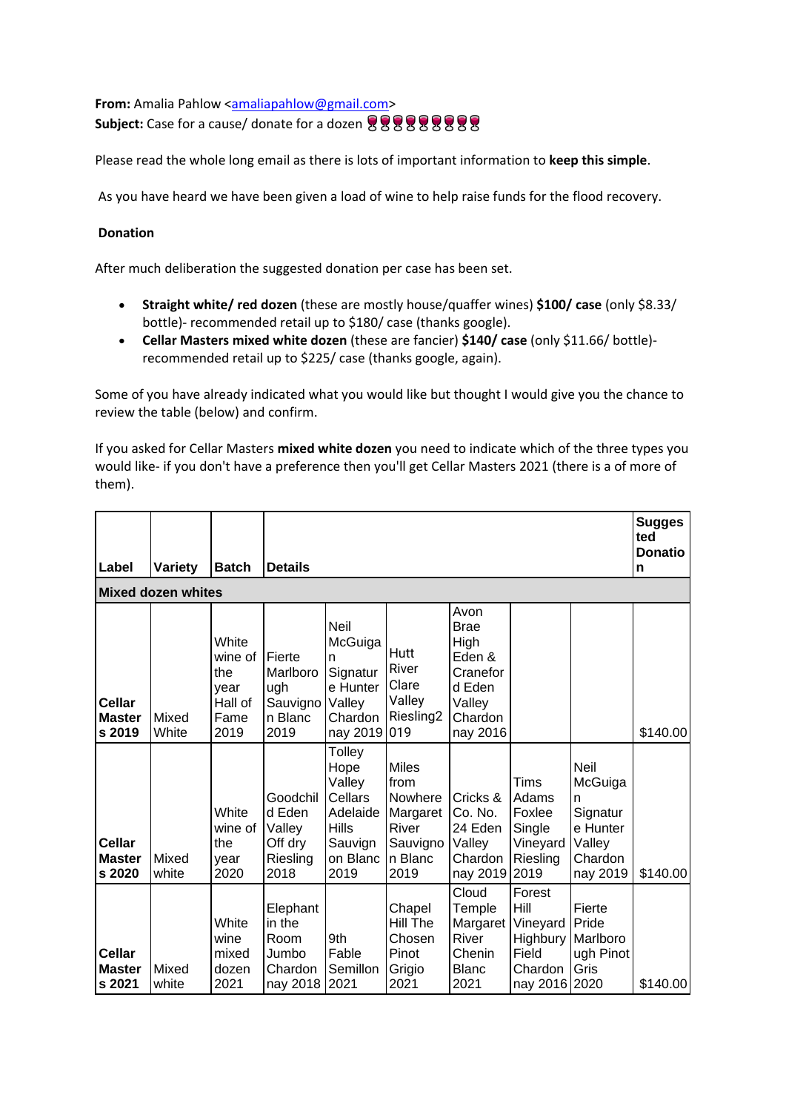**From:** Amalia Pahlow <**amaliapahlow@gmail.com> Subject:** Case for a cause/ donate for a dozen 只只只只只只只只

Please read the whole long email as there is lots of important information to **keep this simple**.

As you have heard we have been given a load of wine to help raise funds for the flood recovery.

## **Donation**

After much deliberation the suggested donation per case has been set.

- **Straight white/ red dozen** (these are mostly house/quaffer wines) **\$100/ case** (only \$8.33/ bottle)- recommended retail up to \$180/ case (thanks google).
- **Cellar Masters mixed white dozen** (these are fancier) **\$140/ case** (only \$11.66/ bottle) recommended retail up to \$225/ case (thanks google, again).

Some of you have already indicated what you would like but thought I would give you the chance to review the table (below) and confirm.

If you asked for Cellar Masters **mixed white dozen** you need to indicate which of the three types you would like- if you don't have a preference then you'll get Cellar Masters 2021 (there is a of more of them).

|                                          |                |                                                            |                                                             |                                                                                                       |                                                                                     |                                                                                              |                                                                             |                                                                               | <b>Sugges</b><br>ted<br><b>Donatio</b> |  |  |  |
|------------------------------------------|----------------|------------------------------------------------------------|-------------------------------------------------------------|-------------------------------------------------------------------------------------------------------|-------------------------------------------------------------------------------------|----------------------------------------------------------------------------------------------|-----------------------------------------------------------------------------|-------------------------------------------------------------------------------|----------------------------------------|--|--|--|
| Label                                    | Variety        | <b>Batch</b>                                               | <b>Details</b>                                              |                                                                                                       |                                                                                     |                                                                                              |                                                                             |                                                                               | n                                      |  |  |  |
| <b>Mixed dozen whites</b>                |                |                                                            |                                                             |                                                                                                       |                                                                                     |                                                                                              |                                                                             |                                                                               |                                        |  |  |  |
| Cellar<br><b>Master</b><br>s 2019        | Mixed<br>White | White<br>wine of<br>the<br>vear<br>Hall of<br>Fame<br>2019 | Fierte<br>Marlboro<br>ugh<br>Sauvigno<br>n Blanc<br>2019    | Neil<br>McGuiga<br>n<br>Signatur<br>e Hunter<br>Valley<br>Chardon<br>nay 2019 019                     | Hutt<br>River<br>Clare<br>Valley<br>Riesling <sub>2</sub>                           | Avon<br><b>Brae</b><br>High<br>Eden &<br>Cranefor<br>d Eden<br>Valley<br>Chardon<br>nay 2016 |                                                                             |                                                                               | \$140.00                               |  |  |  |
| Cellar<br><b>Master</b><br>s 2020        | Mixed<br>white | White<br>wine of<br>the<br>year<br>2020                    | Goodchil<br>d Eden<br>Valley<br>Off dry<br>Riesling<br>2018 | <b>Tolley</b><br>Hope<br>Valley<br>Cellars<br>Adelaide<br><b>Hills</b><br>Sauvign<br>on Blanc<br>2019 | <b>Miles</b><br>from<br>Nowhere<br>Margaret<br>River<br>Sauvigno<br>n Blanc<br>2019 | Cricks &<br>Co. No.<br>24 Eden<br>Valley<br>Chardon<br>nay 2019 2019                         | Tims<br>Adams<br>Foxlee<br>Single<br>Vineyard<br>Riesling                   | Neil<br>McGuiga<br>n<br>Signatur<br>e Hunter<br>Valley<br>Chardon<br>nay 2019 | \$140.00                               |  |  |  |
| <b>Cellar</b><br><b>Master</b><br>s 2021 | Mixed<br>white | White<br>wine<br>mixed<br>dozen<br>2021                    | Elephant<br>in the<br>Room<br>Jumbo<br>Chardon<br>nay 2018  | 9th<br>Fable<br>Semillon<br>2021                                                                      | Chapel<br>Hill The<br>Chosen<br>Pinot<br>Grigio<br>2021                             | Cloud<br>Temple<br>Margaret<br><b>River</b><br>Chenin<br><b>Blanc</b><br>2021                | Forest<br>Hill<br>Vineyard<br>Highbury<br>Field<br>Chardon<br>nay 2016 2020 | Fierte<br>Pride<br>Marlboro<br>ugh Pinot<br>Gris                              | \$140.00                               |  |  |  |